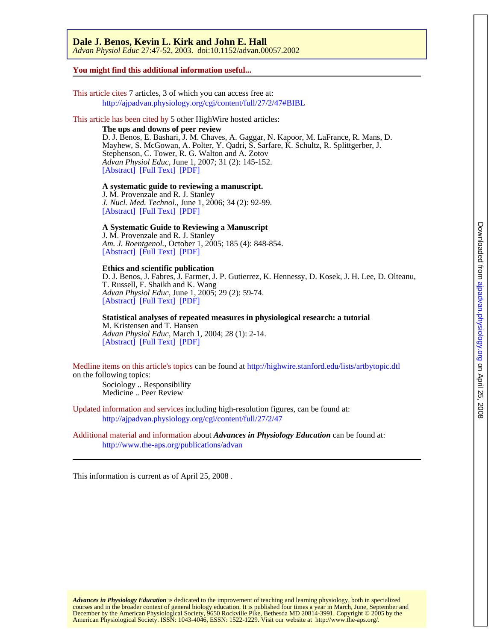# **Dale J. Benos, Kevin L. Kirk and John E. Hall**

*Advan Physiol Educ* 27:47-52, 2003. doi:10.1152/advan.00057.2002

#### **You might find this additional information useful...**

This article cites 7 articles, 3 of which you can access free at: <http://ajpadvan.physiology.org/cgi/content/full/27/2/47#BIBL>

#### This article has been cited by 5 other HighWire hosted articles:

#### **The ups and downs of peer review**

[\[Abstract\]](http://advan.physiology.org/cgi/content/abstract/31/2/145) [\[Full Text\]](http://advan.physiology.org/cgi/content/full/31/2/145) [\[PDF\]](http://advan.physiology.org/cgi/reprint/31/2/145) *Advan Physiol Educ*, June 1, 2007; 31 (2): 145-152. Stephenson, C. Tower, R. G. Walton and A. Zotov Mayhew, S. McGowan, A. Polter, Y. Qadri, S. Sarfare, K. Schultz, R. Splittgerber, J. D. J. Benos, E. Bashari, J. M. Chaves, A. Gaggar, N. Kapoor, M. LaFrance, R. Mans, D.

#### **A systematic guide to reviewing a manuscript.**

[\[Abstract\]](http://tech.snmjournals.org/cgi/content/abstract/34/2/92) [\[Full Text\]](http://tech.snmjournals.org/cgi/content/full/34/2/92) [\[PDF\]](http://tech.snmjournals.org/cgi/reprint/34/2/92) *J. Nucl. Med. Technol.*, June 1, 2006; 34 (2): 92-99. J. M. Provenzale and R. J. Stanley

### **A Systematic Guide to Reviewing a Manuscript**

[\[Abstract\]](http://www.ajronline.org/cgi/content/abstract/185/4/848) [\[Full Text\]](http://www.ajronline.org/cgi/content/full/185/4/848) [\[PDF\]](http://www.ajronline.org/cgi/reprint/185/4/848) *Am. J. Roentgenol.*, October 1, 2005; 185 (4): 848-854. J. M. Provenzale and R. J. Stanley

#### **Ethics and scientific publication**

[\[Abstract\]](http://advan.physiology.org/cgi/content/abstract/29/2/59) [\[Full Text\]](http://advan.physiology.org/cgi/content/full/29/2/59) [\[PDF\]](http://advan.physiology.org/cgi/reprint/29/2/59) *Advan Physiol Educ*, June 1, 2005; 29 (2): 59-74. T. Russell, F. Shaikh and K. Wang D. J. Benos, J. Fabres, J. Farmer, J. P. Gutierrez, K. Hennessy, D. Kosek, J. H. Lee, D. Olteanu,

[\[Abstract\]](http://advan.physiology.org/cgi/content/abstract/28/1/2) [\[Full Text\]](http://advan.physiology.org/cgi/content/full/28/1/2) [\[PDF\]](http://advan.physiology.org/cgi/reprint/28/1/2) *Advan Physiol Educ*, March 1, 2004; 28 (1): 2-14. M. Kristensen and T. Hansen **Statistical analyses of repeated measures in physiological research: a tutorial**

on the following topics: Medline items on this article's topics can be found at<http://highwire.stanford.edu/lists/artbytopic.dtl>

Medicine .. Peer Review Sociology .. Responsibility

Updated information and services including high-resolution figures, can be found at: <http://ajpadvan.physiology.org/cgi/content/full/27/2/47>

Additional material and information about *Advances in Physiology Education* can be found at: <http://www.the-aps.org/publications/advan>

This information is current as of April 25, 2008 .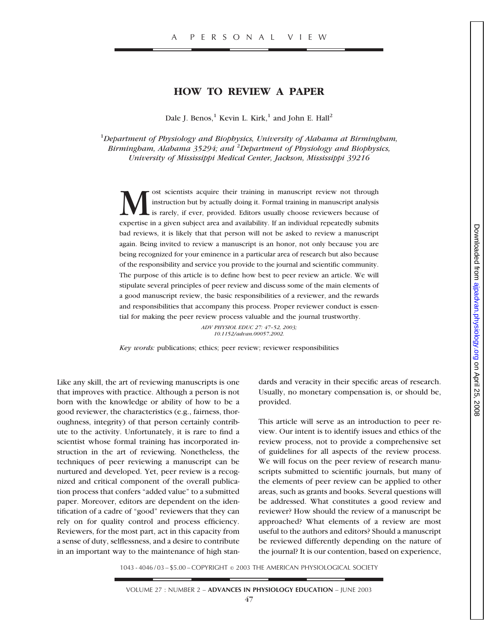# **HOW TO REVIEW A PAPER**

Dale J. Benos, $<sup>1</sup>$  Kevin L. Kirk, $<sup>1</sup>$  and John E. Hall<sup>2</sup></sup></sup>

1 *Department of Physiology and Biophysics, University of Alabama at Birmingham, Birmingham, Alabama 35294; and* <sup>2</sup> *Department of Physiology and Biophysics, University of Mississippi Medical Center, Jackson, Mississippi 39216*

ost scientists acquire their training in manuscript review not through<br>instruction but by actually doing it. Formal training in manuscript analysis<br>is rarely, if ever, provided. Editors usually choose reviewers because of<br> instruction but by actually doing it. Formal training in manuscript analysis is rarely, if ever, provided. Editors usually choose reviewers because of expertise in a given subject area and availability. If an individual repeatedly submits bad reviews, it is likely that that person will not be asked to review a manuscript again. Being invited to review a manuscript is an honor, not only because you are being recognized for your eminence in a particular area of research but also because of the responsibility and service you provide to the journal and scientific community. The purpose of this article is to define how best to peer review an article. We will stipulate several principles of peer review and discuss some of the main elements of a good manuscript review, the basic responsibilities of a reviewer, and the rewards and responsibilities that accompany this process. Proper reviewer conduct is essential for making the peer review process valuable and the journal trustworthy.

> *ADV PHYSIOL EDUC 27: 47–52, 2003; 10.1152/advan.00057.2002.*

*Key words:* publications; ethics; peer review; reviewer responsibilities

Like any skill, the art of reviewing manuscripts is one that improves with practice. Although a person is not born with the knowledge or ability of how to be a good reviewer, the characteristics (e.g., fairness, thoroughness, integrity) of that person certainly contribute to the activity. Unfortunately, it is rare to find a scientist whose formal training has incorporated instruction in the art of reviewing. Nonetheless, the techniques of peer reviewing a manuscript can be nurtured and developed. Yet, peer review is a recognized and critical component of the overall publication process that confers "added value" to a submitted paper. Moreover, editors are dependent on the identification of a cadre of "good" reviewers that they can rely on for quality control and process efficiency. Reviewers, for the most part, act in this capacity from a sense of duty, selflessness, and a desire to contribute in an important way to the maintenance of high standards and veracity in their specific areas of research. Usually, no monetary compensation is, or should be, provided.

This article will serve as an introduction to peer review. Our intent is to identify issues and ethics of the review process, not to provide a comprehensive set of guidelines for all aspects of the review process. We will focus on the peer review of research manuscripts submitted to scientific journals, but many of the elements of peer review can be applied to other areas, such as grants and books. Several questions will be addressed. What constitutes a good review and reviewer? How should the review of a manuscript be approached? What elements of a review are most useful to the authors and editors? Should a manuscript be reviewed differently depending on the nature of the journal? It is our contention, based on experience,

1043 - 4046 / 03 – \$5.00 – COPYRIGHT © 2003 THE AMERICAN PHYSIOLOGICAL SOCIETY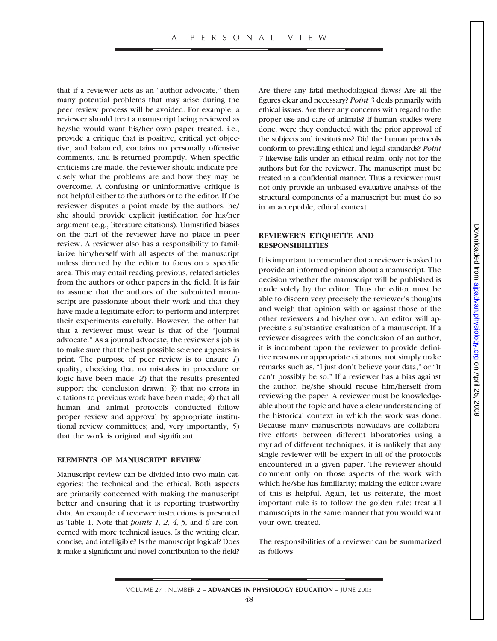that if a reviewer acts as an "author advocate," then many potential problems that may arise during the peer review process will be avoided. For example, a reviewer should treat a manuscript being reviewed as he/she would want his/her own paper treated, i.e., provide a critique that is positive, critical yet objective, and balanced, contains no personally offensive comments, and is returned promptly. When specific criticisms are made, the reviewer should indicate precisely what the problems are and how they may be overcome. A confusing or uninformative critique is not helpful either to the authors or to the editor. If the reviewer disputes a point made by the authors, he/ she should provide explicit justification for his/her argument (e.g., literature citations). Unjustified biases on the part of the reviewer have no place in peer review. A reviewer also has a responsibility to familiarize him/herself with all aspects of the manuscript unless directed by the editor to focus on a specific area. This may entail reading previous, related articles from the authors or other papers in the field. It is fair to assume that the authors of the submitted manuscript are passionate about their work and that they have made a legitimate effort to perform and interpret their experiments carefully. However, the other hat that a reviewer must wear is that of the "journal advocate." As a journal advocate, the reviewer's job is to make sure that the best possible science appears in print. The purpose of peer review is to ensure *1*) quality, checking that no mistakes in procedure or logic have been made; *2*) that the results presented support the conclusion drawn; *3*) that no errors in citations to previous work have been made; *4*) that all human and animal protocols conducted follow proper review and approval by appropriate institutional review committees; and, very importantly, *5*) that the work is original and significant.

#### **ELEMENTS OF MANUSCRIPT REVIEW**

Manuscript review can be divided into two main categories: the technical and the ethical. Both aspects are primarily concerned with making the manuscript better and ensuring that it is reporting trustworthy data. An example of reviewer instructions is presented as Table 1. Note that *points 1, 2, 4, 5,* and *6* are concerned with more technical issues. Is the writing clear, concise, and intelligible? Is the manuscript logical? Does it make a significant and novel contribution to the field? Are there any fatal methodological flaws? Are all the figures clear and necessary? *Point 3* deals primarily with ethical issues. Are there any concerns with regard to the proper use and care of animals? If human studies were done, were they conducted with the prior approval of the subjects and institutions? Did the human protocols conform to prevailing ethical and legal standards? *Point 7* likewise falls under an ethical realm, only not for the authors but for the reviewer. The manuscript must be treated in a confidential manner. Thus a reviewer must not only provide an unbiased evaluative analysis of the structural components of a manuscript but must do so in an acceptable, ethical context.

## **REVIEWER'S ETIQUETTE AND RESPONSIBILITIES**

It is important to remember that a reviewer is asked to provide an informed opinion about a manuscript. The decision whether the manuscript will be published is made solely by the editor. Thus the editor must be able to discern very precisely the reviewer's thoughts and weigh that opinion with or against those of the other reviewers and his/her own. An editor will appreciate a substantive evaluation of a manuscript. If a reviewer disagrees with the conclusion of an author, it is incumbent upon the reviewer to provide definitive reasons or appropriate citations, not simply make remarks such as, "I just don't believe your data," or "It can't possibly be so." If a reviewer has a bias against the author, he/she should recuse him/herself from reviewing the paper. A reviewer must be knowledgeable about the topic and have a clear understanding of the historical context in which the work was done. Because many manuscripts nowadays are collaborative efforts between different laboratories using a myriad of different techniques, it is unlikely that any single reviewer will be expert in all of the protocols encountered in a given paper. The reviewer should comment only on those aspects of the work with which he/she has familiarity; making the editor aware of this is helpful. Again, let us reiterate, the most important rule is to follow the golden rule: treat all manuscripts in the same manner that you would want your own treated.

The responsibilities of a reviewer can be summarized as follows.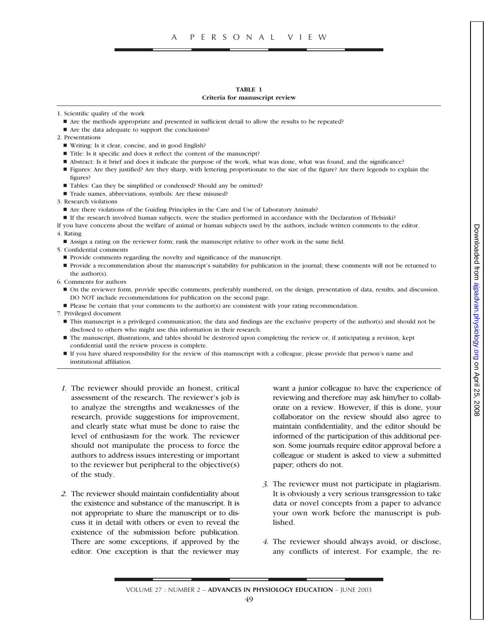#### **TABLE 1 Criteria for manuscript review**

1. Scientific quality of the work

- Are the methods appropriate and presented in sufficient detail to allow the results to be repeated?
- Are the data adequate to support the conclusions?
- 2. Presentations
	- Writing: Is it clear, concise, and in good English?
	- Title: Is it specific and does it reflect the content of the manuscript?
	- Abstract: Is it brief and does it indicate the purpose of the work, what was done, what was found, and the significance?
	- Figures: Are they justified? Are they sharp, with lettering proportionate to the size of the figure? Are there legends to explain the figures?
	- Tables: Can they be simplified or condensed? Should any be omitted?
	- Trade names, abbreviations, symbols: Are these misused?
- 3. Research violations
	- Are there violations of the Guiding Principles in the Care and Use of Laboratory Animals?
	- If the research involved human subjects, were the studies performed in accordance with the Declaration of Helsinki?
- If you have concerns about the welfare of animal or human subjects used by the authors, include written comments to the editor. 4. Rating
	- Assign a rating on the reviewer form; rank the manuscript relative to other work in the same field.
- 5. Confidential comments
	- Provide comments regarding the novelty and significance of the manuscript.
	- Provide a recommendation about the manuscript's suitability for publication in the journal; these comments will not be returned to the author(s).
- 6. Comments for authors
	- On the reviewer form, provide specific comments, preferably numbered, on the design, presentation of data, results, and discussion. DO NOT include recommendations for publication on the second page.
	- **Please be certain that your comments to the author(s) are consistent with your rating recommendation.**
- 7. Privileged document
	- This manuscript is a privileged communication; the data and findings are the exclusive property of the author(s) and should not be disclosed to others who might use this information in their research.
	- The manuscript, illustrations, and tables should be destroyed upon completing the review or, if anticipating a revision, kept confidential until the review process is complete.
	- If you have shared responsibility for the review of this manuscript with a colleague, please provide that person's name and institutional affiliation.
- *1.* The reviewer should provide an honest, critical assessment of the research. The reviewer's job is to analyze the strengths and weaknesses of the research, provide suggestions for improvement, and clearly state what must be done to raise the level of enthusiasm for the work. The reviewer should not manipulate the process to force the authors to address issues interesting or important to the reviewer but peripheral to the objective(s) of the study.
- *2.* The reviewer should maintain confidentiality about the existence and substance of the manuscript. It is not appropriate to share the manuscript or to discuss it in detail with others or even to reveal the existence of the submission before publication. There are some exceptions, if approved by the editor. One exception is that the reviewer may

want a junior colleague to have the experience of reviewing and therefore may ask him/her to collaborate on a review. However, if this is done, your collaborator on the review should also agree to maintain confidentiality, and the editor should be informed of the participation of this additional person. Some journals require editor approval before a colleague or student is asked to view a submitted paper; others do not.

- *3.* The reviewer must not participate in plagiarism. It is obviously a very serious transgression to take data or novel concepts from a paper to advance your own work before the manuscript is published.
- *4.* The reviewer should always avoid, or disclose, any conflicts of interest. For example, the re-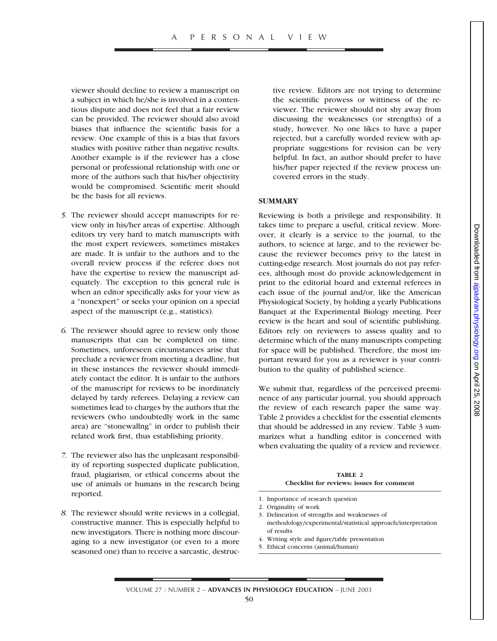viewer should decline to review a manuscript on a subject in which he/she is involved in a contentious dispute and does not feel that a fair review can be provided. The reviewer should also avoid biases that influence the scientific basis for a review. One example of this is a bias that favors studies with positive rather than negative results. Another example is if the reviewer has a close personal or professional relationship with one or more of the authors such that his/her objectivity would be compromised. Scientific merit should be the basis for all reviews.

- *5.* The reviewer should accept manuscripts for review only in his/her areas of expertise. Although editors try very hard to match manuscripts with the most expert reviewers, sometimes mistakes are made. It is unfair to the authors and to the overall review process if the referee does not have the expertise to review the manuscript adequately. The exception to this general rule is when an editor specifically asks for your view as a "nonexpert" or seeks your opinion on a special aspect of the manuscript (e.g., statistics).
- *6.* The reviewer should agree to review only those manuscripts that can be completed on time. Sometimes, unforeseen circumstances arise that preclude a reviewer from meeting a deadline, but in these instances the reviewer should immediately contact the editor. It is unfair to the authors of the manuscript for reviews to be inordinately delayed by tardy referees. Delaying a review can sometimes lead to charges by the authors that the reviewers (who undoubtedly work in the same area) are "stonewallng" in order to publish their related work first, thus establishing priority.
- *7.* The reviewer also has the unpleasant responsibility of reporting suspected duplicate publication, fraud, plagiarism, or ethical concerns about the use of animals or humans in the research being reported.
- *8.* The reviewer should write reviews in a collegial, constructive manner. This is especially helpful to new investigators. There is nothing more discouraging to a new investigator (or even to a more seasoned one) than to receive a sarcastic, destruc-

tive review. Editors are not trying to determine the scientific prowess or wittiness of the reviewer. The reviewer should not shy away from discussing the weaknesses (or strengths) of a study, however. No one likes to have a paper rejected, but a carefully worded review with appropriate suggestions for revision can be very helpful. In fact, an author should prefer to have his/her paper rejected if the review process uncovered errors in the study.

#### **SUMMARY**

Reviewing is both a privilege and responsibility. It takes time to prepare a useful, critical review. Moreover, it clearly is a service to the journal, to the authors, to science at large, and to the reviewer because the reviewer becomes privy to the latest in cutting-edge research. Most journals do not pay referees, although most do provide acknowledgement in print to the editorial board and external referees in each issue of the journal and/or, like the American Physiological Society, by holding a yearly Publications Banquet at the Experimental Biology meeting. Peer review is the heart and soul of scientific publishing. Editors rely on reviewers to assess quality and to determine which of the many manuscripts competing for space will be published. Therefore, the most important reward for you as a reviewer is your contribution to the quality of published science.

We submit that, regardless of the perceived preeminence of any particular journal, you should approach the review of each research paper the same way. Table 2 provides a checklist for the essential elements that should be addressed in any review. Table 3 summarizes what a handling editor is concerned with when evaluating the quality of a review and reviewer.

#### **TABLE 2 Checklist for reviews: issues for comment**

- 1. Importance of research question
- 2. Originality of work
- 3. Delineation of strengths and weaknesses of methodology/experimental/statistical approach/interpretation of results
- 4. Writing style and figure/table presentation
- 5. Ethical concerns (animal/human)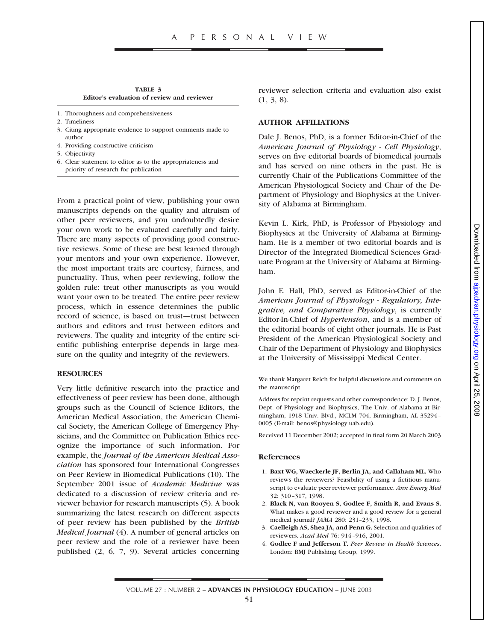**TABLE 3 Editor's evaluation of review and reviewer**

- 1. Thoroughness and comprehensiveness
- 2. Timeliness
- 3. Citing appropriate evidence to support comments made to author
- 4. Providing constructive criticism
- 5. Objectivity
- 6. Clear statement to editor as to the appropriateness and priority of research for publication

From a practical point of view, publishing your own manuscripts depends on the quality and altruism of other peer reviewers, and you undoubtedly desire your own work to be evaluated carefully and fairly. There are many aspects of providing good constructive reviews. Some of these are best learned through your mentors and your own experience. However, the most important traits are courtesy, fairness, and punctuality. Thus, when peer reviewing, follow the golden rule: treat other manuscripts as you would want your own to be treated. The entire peer review process, which in essence determines the public record of science, is based on trust—trust between authors and editors and trust between editors and reviewers. The quality and integrity of the entire scientific publishing enterprise depends in large measure on the quality and integrity of the reviewers.

#### **RESOURCES**

Very little definitive research into the practice and effectiveness of peer review has been done, although groups such as the Council of Science Editors, the American Medical Association, the American Chemical Society, the American College of Emergency Physicians, and the Committee on Publication Ethics recognize the importance of such information. For example, the *Journal of the American Medical Association* has sponsored four International Congresses on Peer Review in Biomedical Publications (10). The September 2001 issue of *Academic Medicine* was dedicated to a discussion of review criteria and reviewer behavior for research manuscripts (5). A book summarizing the latest research on different aspects of peer review has been published by the *British Medical Journal* (4). A number of general articles on peer review and the role of a reviewer have been published (2, 6, 7, 9). Several articles concerning

reviewer selection criteria and evaluation also exist (1, 3, 8).

#### **AUTHOR AFFILIATIONS**

Dale J. Benos, PhD, is a former Editor-in-Chief of the *American Journal of Physiology - Cell Physiology*, serves on five editorial boards of biomedical journals and has served on nine others in the past. He is currently Chair of the Publications Committee of the American Physiological Society and Chair of the Department of Physiology and Biophysics at the University of Alabama at Birmingham.

Kevin L. Kirk, PhD, is Professor of Physiology and Biophysics at the University of Alabama at Birmingham. He is a member of two editorial boards and is Director of the Integrated Biomedical Sciences Graduate Program at the University of Alabama at Birmingham.

John E. Hall, PhD, served as Editor-in-Chief of the *American Journal of Physiology - Regulatory, Integrative, and Comparative Physiology*, is currently Editor-In-Chief of *Hypertension*, and is a member of the editorial boards of eight other journals. He is Past President of the American Physiological Society and Chair of the Department of Physiology and Biophysics at the University of Mississippi Medical Center.

We thank Margaret Reich for helpful discussions and comments on the manuscript.

Address for reprint requests and other correspondence: D. J. Benos, Dept. of Physiology and Biophysics, The Univ. of Alabama at Birmingham, 1918 Univ. Blvd., MCLM 704, Birmingham, AL 35294– 0005 (E-mail: benos@physiology.uab.edu).

Received 11 December 2002; accepted in final form 20 March 2003

#### **References**

- 1. **Baxt WG, Waeckerle JF, Berlin JA, and Callaham ML.** Who reviews the reviewers? Feasibility of using a fictitious manuscript to evaluate peer reviewer performance. *Ann Emerg Med* 32: 310–317, 1998.
- 2. **Black N, van Rooyen S, Godlee F, Smith R, and Evans S.** What makes a good reviewer and a good review for a general medical journal? *JAMA* 280: 231–233, 1998.
- 3. **Caelleigh AS, Shea JA, and Penn G.** Selection and qualities of reviewers. *Acad Med* 76: 914–916, 2001.
- 4. **Godlee F and Jefferson T.** *Peer Review in Health Sciences*. London: BMJ Publishing Group, 1999.